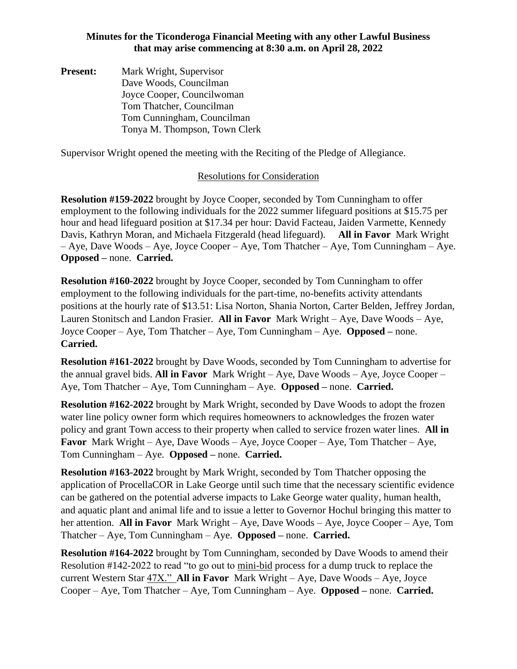**Present:** Mark Wright, Supervisor Dave Woods, Councilman Joyce Cooper, Councilwoman Tom Thatcher, Councilman Tom Cunningham, Councilman Tonya M. Thompson, Town Clerk

Supervisor Wright opened the meeting with the Reciting of the Pledge of Allegiance.

## Resolutions for Consideration

**Resolution #159-2022** brought by Joyce Cooper, seconded by Tom Cunningham to offer employment to the following individuals for the 2022 summer lifeguard positions at \$15.75 per hour and head lifeguard position at \$17.34 per hour: David Facteau, Jaiden Varmette, Kennedy Davis, Kathryn Moran, and Michaela Fitzgerald (head lifeguard). **All in Favor** Mark Wright – Aye, Dave Woods – Aye, Joyce Cooper – Aye, Tom Thatcher – Aye, Tom Cunningham – Aye. **Opposed –** none. **Carried.** 

**Resolution #160-2022** brought by Joyce Cooper, seconded by Tom Cunningham to offer employment to the following individuals for the part-time, no-benefits activity attendants positions at the hourly rate of \$13.51: Lisa Norton, Shania Norton, Carter Belden, Jeffrey Jordan, Lauren Stonitsch and Landon Frasier. **All in Favor** Mark Wright – Aye, Dave Woods – Aye, Joyce Cooper – Aye, Tom Thatcher – Aye, Tom Cunningham – Aye. **Opposed –** none. **Carried.**

**Resolution #161-2022** brought by Dave Woods, seconded by Tom Cunningham to advertise for the annual gravel bids. **All in Favor** Mark Wright – Aye, Dave Woods – Aye, Joyce Cooper – Aye, Tom Thatcher – Aye, Tom Cunningham – Aye. **Opposed –** none. **Carried.**

**Resolution #162-2022** brought by Mark Wright, seconded by Dave Woods to adopt the frozen water line policy owner form which requires homeowners to acknowledges the frozen water policy and grant Town access to their property when called to service frozen water lines. **All in Favor** Mark Wright – Aye, Dave Woods – Aye, Joyce Cooper – Aye, Tom Thatcher – Aye, Tom Cunningham – Aye. **Opposed –** none. **Carried.**

**Resolution #163-2022** brought by Mark Wright, seconded by Tom Thatcher opposing the application of ProcellaCOR in Lake George until such time that the necessary scientific evidence can be gathered on the potential adverse impacts to Lake George water quality, human health, and aquatic plant and animal life and to issue a letter to Governor Hochul bringing this matter to her attention. **All in Favor** Mark Wright – Aye, Dave Woods – Aye, Joyce Cooper – Aye, Tom Thatcher – Aye, Tom Cunningham – Aye. **Opposed –** none. **Carried.**

**Resolution #164-2022** brought by Tom Cunningham, seconded by Dave Woods to amend their Resolution #142-2022 to read "to go out to mini-bid process for a dump truck to replace the current Western Star 47X." **All in Favor** Mark Wright – Aye, Dave Woods – Aye, Joyce Cooper – Aye, Tom Thatcher – Aye, Tom Cunningham – Aye. **Opposed –** none. **Carried.**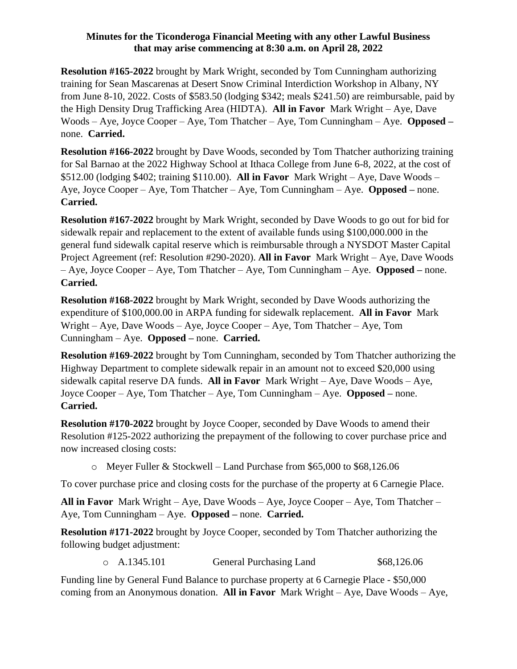**Resolution #165-2022** brought by Mark Wright, seconded by Tom Cunningham authorizing training for Sean Mascarenas at Desert Snow Criminal Interdiction Workshop in Albany, NY from June 8-10, 2022. Costs of \$583.50 (lodging \$342; meals \$241.50) are reimbursable, paid by the High Density Drug Trafficking Area (HIDTA). **All in Favor** Mark Wright – Aye, Dave Woods – Aye, Joyce Cooper – Aye, Tom Thatcher – Aye, Tom Cunningham – Aye. **Opposed –** none. **Carried.**

**Resolution #166-2022** brought by Dave Woods, seconded by Tom Thatcher authorizing training for Sal Barnao at the 2022 Highway School at Ithaca College from June 6-8, 2022, at the cost of \$512.00 (lodging \$402; training \$110.00). **All in Favor** Mark Wright – Aye, Dave Woods – Aye, Joyce Cooper – Aye, Tom Thatcher – Aye, Tom Cunningham – Aye. **Opposed –** none. **Carried.**

**Resolution #167-2022** brought by Mark Wright, seconded by Dave Woods to go out for bid for sidewalk repair and replacement to the extent of available funds using \$100,000.000 in the general fund sidewalk capital reserve which is reimbursable through a NYSDOT Master Capital Project Agreement (ref: Resolution #290-2020). **All in Favor** Mark Wright – Aye, Dave Woods – Aye, Joyce Cooper – Aye, Tom Thatcher – Aye, Tom Cunningham – Aye. **Opposed –** none. **Carried.**

**Resolution #168-2022** brought by Mark Wright, seconded by Dave Woods authorizing the expenditure of \$100,000.00 in ARPA funding for sidewalk replacement. **All in Favor** Mark Wright – Aye, Dave Woods – Aye, Joyce Cooper – Aye, Tom Thatcher – Aye, Tom Cunningham – Aye. **Opposed –** none. **Carried.**

**Resolution #169-2022** brought by Tom Cunningham, seconded by Tom Thatcher authorizing the Highway Department to complete sidewalk repair in an amount not to exceed \$20,000 using sidewalk capital reserve DA funds. **All in Favor** Mark Wright – Aye, Dave Woods – Aye, Joyce Cooper – Aye, Tom Thatcher – Aye, Tom Cunningham – Aye. **Opposed –** none. **Carried.**

**Resolution #170-2022** brought by Joyce Cooper, seconded by Dave Woods to amend their Resolution #125-2022 authorizing the prepayment of the following to cover purchase price and now increased closing costs:

o Meyer Fuller & Stockwell – Land Purchase from \$65,000 to \$68,126.06

To cover purchase price and closing costs for the purchase of the property at 6 Carnegie Place.

**All in Favor** Mark Wright – Aye, Dave Woods – Aye, Joyce Cooper – Aye, Tom Thatcher – Aye, Tom Cunningham – Aye. **Opposed –** none. **Carried.**

**Resolution #171-2022** brought by Joyce Cooper, seconded by Tom Thatcher authorizing the following budget adjustment:

|  | o A.1345.101 | General Purchasing Land | \$68,126.06 |
|--|--------------|-------------------------|-------------|
|--|--------------|-------------------------|-------------|

Funding line by General Fund Balance to purchase property at 6 Carnegie Place - \$50,000 coming from an Anonymous donation. **All in Favor** Mark Wright – Aye, Dave Woods – Aye,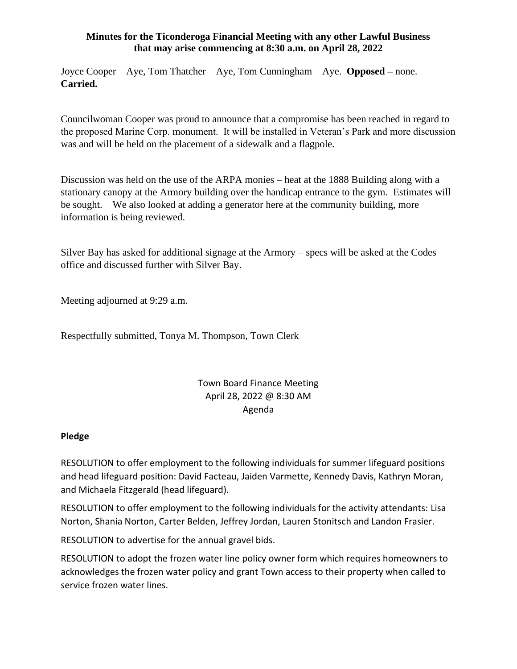Joyce Cooper – Aye, Tom Thatcher – Aye, Tom Cunningham – Aye. **Opposed –** none. **Carried.**

Councilwoman Cooper was proud to announce that a compromise has been reached in regard to the proposed Marine Corp. monument. It will be installed in Veteran's Park and more discussion was and will be held on the placement of a sidewalk and a flagpole.

Discussion was held on the use of the ARPA monies – heat at the 1888 Building along with a stationary canopy at the Armory building over the handicap entrance to the gym. Estimates will be sought. We also looked at adding a generator here at the community building, more information is being reviewed.

Silver Bay has asked for additional signage at the Armory – specs will be asked at the Codes office and discussed further with Silver Bay.

Meeting adjourned at 9:29 a.m.

Respectfully submitted, Tonya M. Thompson, Town Clerk

# Town Board Finance Meeting April 28, 2022 @ 8:30 AM Agenda

#### **Pledge**

RESOLUTION to offer employment to the following individuals for summer lifeguard positions and head lifeguard position: David Facteau, Jaiden Varmette, Kennedy Davis, Kathryn Moran, and Michaela Fitzgerald (head lifeguard).

RESOLUTION to offer employment to the following individuals for the activity attendants: Lisa Norton, Shania Norton, Carter Belden, Jeffrey Jordan, Lauren Stonitsch and Landon Frasier.

RESOLUTION to advertise for the annual gravel bids.

RESOLUTION to adopt the frozen water line policy owner form which requires homeowners to acknowledges the frozen water policy and grant Town access to their property when called to service frozen water lines.